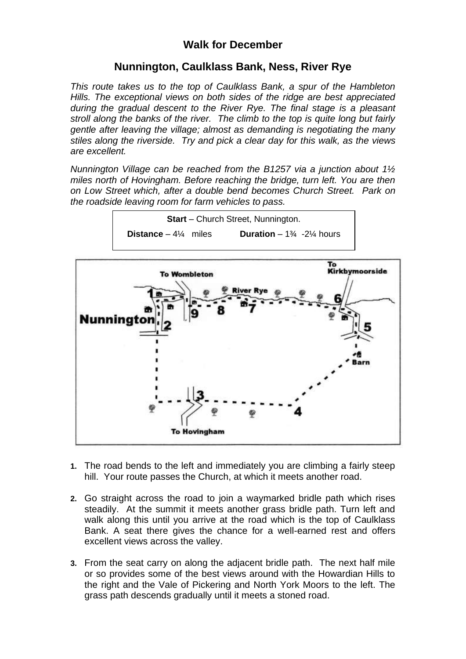## **Walk for December**

## **Nunnington, Caulklass Bank, Ness, River Rye**

*This route takes us to the top of Caulklass Bank, a spur of the Hambleton Hills. The exceptional views on both sides of the ridge are best appreciated during the gradual descent to the River Rye. The final stage is a pleasant stroll along the banks of the river. The climb to the top is quite long but fairly gentle after leaving the village; almost as demanding is negotiating the many stiles along the riverside. Try and pick a clear day for this walk, as the views are excellent.* 

*Nunnington Village can be reached from the B1257 via a junction about 1½ miles north of Hovingham. Before reaching the bridge, turn left. You are then on Low Street which, after a double bend becomes Church Street. Park on the roadside leaving room for farm vehicles to pass.*





- **1.** The road bends to the left and immediately you are climbing a fairly steep hill. Your route passes the Church, at which it meets another road.
- **2.** Go straight across the road to join a waymarked bridle path which rises steadily. At the summit it meets another grass bridle path. Turn left and walk along this until you arrive at the road which is the top of Caulklass Bank. A seat there gives the chance for a well-earned rest and offers excellent views across the valley.
- **3.** From the seat carry on along the adjacent bridle path. The next half mile or so provides some of the best views around with the Howardian Hills to the right and the Vale of Pickering and North York Moors to the left. The grass path descends gradually until it meets a stoned road.